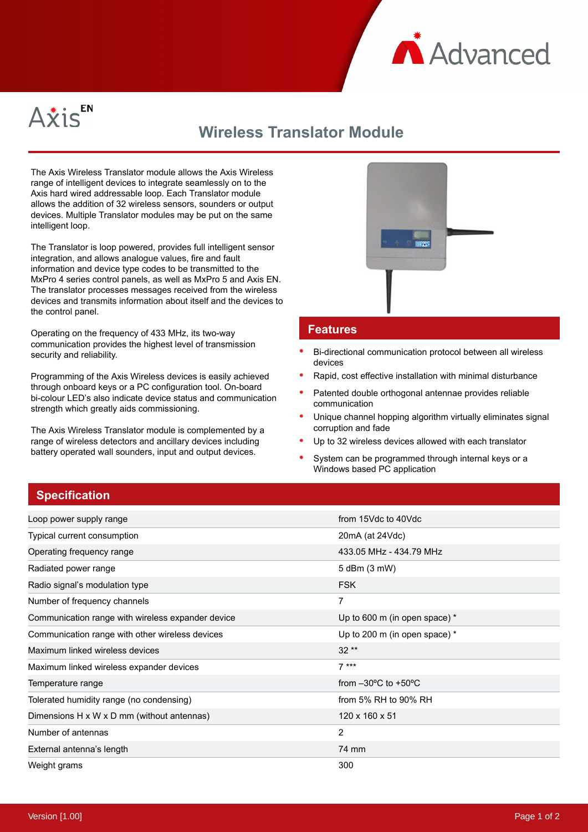



## **Wireless Translator Module**

The Axis Wireless Translator module allows the Axis Wireless range of intelligent devices to integrate seamlessly on to the Axis hard wired addressable loop. Each Translator module allows the addition of 32 wireless sensors, sounders or output devices. Multiple Translator modules may be put on the same intelligent loop.

The Translator is loop powered, provides full intelligent sensor integration, and allows analogue values, fire and fault information and device type codes to be transmitted to the MxPro 4 series control panels, as well as MxPro 5 and Axis EN. The translator processes messages received from the wireless devices and transmits information about itself and the devices to the control panel.

Operating on the frequency of 433 MHz, its two-way communication provides the highest level of transmission security and reliability.

Programming of the Axis Wireless devices is easily achieved through onboard keys or a PC configuration tool. On-board bi-colour LED's also indicate device status and communication strength which greatly aids commissioning.

The Axis Wireless Translator module is complemented by a range of wireless detectors and ancillary devices including battery operated wall sounders, input and output devices.



## **Features**

- Bi-directional communication protocol between all wireless devices
- Rapid, cost effective installation with minimal disturbance
- Patented double orthogonal antennae provides reliable communication
- Unique channel hopping algorithm virtually eliminates signal corruption and fade
- Up to 32 wireless devices allowed with each translator
- System can be programmed through internal keys or a Windows based PC application

## **Specification**

| Loop power supply range                                | from 15Vdc to 40Vdc                     |
|--------------------------------------------------------|-----------------------------------------|
| Typical current consumption                            | $20mA$ (at $24Vdc$ )                    |
| Operating frequency range                              | 433.05 MHz - 434.79 MHz                 |
| Radiated power range                                   | 5 dBm (3 mW)                            |
| Radio signal's modulation type                         | <b>FSK</b>                              |
| Number of frequency channels                           | 7                                       |
| Communication range with wireless expander device      | Up to 600 m (in open space) *           |
| Communication range with other wireless devices        | Up to 200 m (in open space) $*$         |
| Maximum linked wireless devices                        | $32**$                                  |
| Maximum linked wireless expander devices               | $7***$                                  |
| Temperature range                                      | from $-30^{\circ}$ C to $+50^{\circ}$ C |
| Tolerated humidity range (no condensing)               | from 5% RH to 90% RH                    |
| Dimensions $H \times W \times D$ mm (without antennas) | 120 x 160 x 51                          |
| Number of antennas                                     | $\overline{2}$                          |
| External antenna's length                              | 74 mm                                   |
| Weight grams                                           | 300                                     |